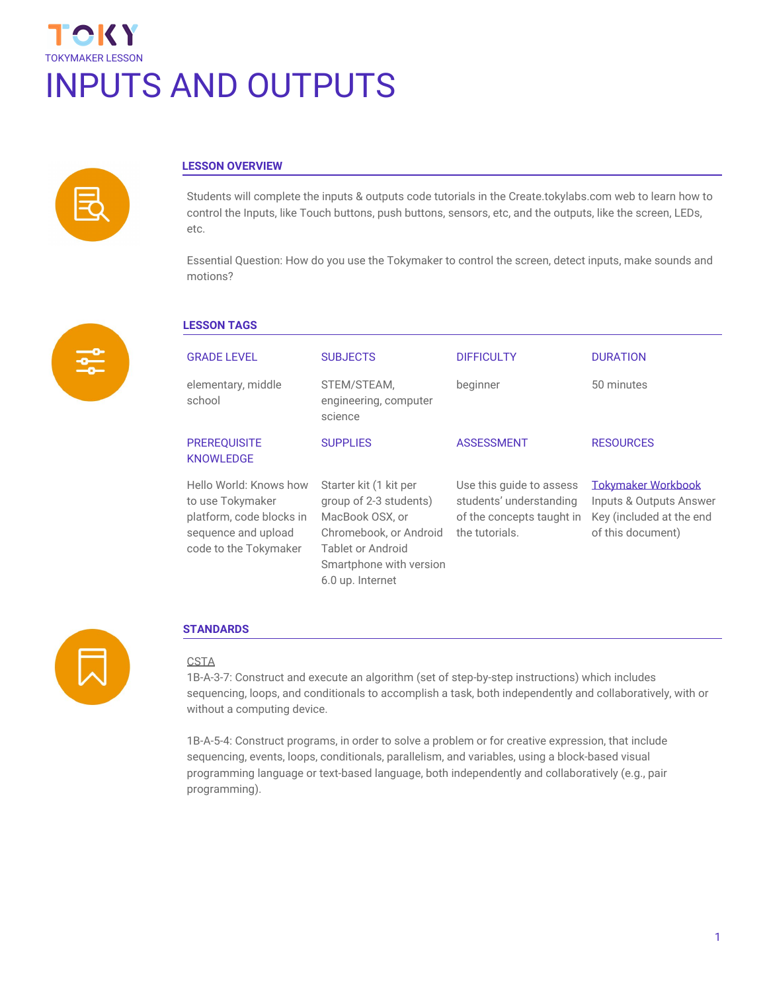



# **LESSON OVERVIEW**

Students will complete the inputs & outputs code tutorials in the Create.tokylabs.com web to learn how to control the Inputs, like Touch buttons, push buttons, sensors, etc, and the outputs, like the screen, LEDs, etc.

Essential Question: How do you use the Tokymaker to control the screen, detect inputs, make sounds and motions?



# **LESSON TAGS**

| <b>GRADE LEVEL</b>                                                                                                     | <b>SUBJECTS</b>                                                                                                                                                   | <b>DIFFICULTY</b>                                                                                  | <b>DURATION</b>                                                                                       |
|------------------------------------------------------------------------------------------------------------------------|-------------------------------------------------------------------------------------------------------------------------------------------------------------------|----------------------------------------------------------------------------------------------------|-------------------------------------------------------------------------------------------------------|
| elementary, middle<br>school                                                                                           | STEM/STEAM,<br>engineering, computer<br>science                                                                                                                   | beginner                                                                                           | 50 minutes                                                                                            |
| <b>PREREQUISITE</b><br><b>KNOWLEDGE</b>                                                                                | <b>SUPPLIES</b>                                                                                                                                                   | <b>ASSESSMENT</b>                                                                                  | <b>RESOURCES</b>                                                                                      |
| Hello World: Knows how<br>to use Tokymaker<br>platform, code blocks in<br>sequence and upload<br>code to the Tokymaker | Starter kit (1 kit per<br>group of 2-3 students)<br>MacBook OSX, or<br>Chromebook, or Android<br>Tablet or Android<br>Smartphone with version<br>6.0 up. Internet | Use this guide to assess<br>students' understanding<br>of the concepts taught in<br>the tutorials. | <b>Tokymaker Workbook</b><br>Inputs & Outputs Answer<br>Key (included at the end<br>of this document) |



#### **STANDARDS**

#### CSTA

1B-A-3-7: Construct and execute an algorithm (set of step-by-step instructions) which includes sequencing, loops, and conditionals to accomplish a task, both independently and collaboratively, with or without a computing device.

1B-A-5-4: Construct programs, in order to solve a problem or for creative expression, that include sequencing, events, loops, conditionals, parallelism, and variables, using a block-based visual programming language or text-based language, both independently and collaboratively (e.g., pair programming).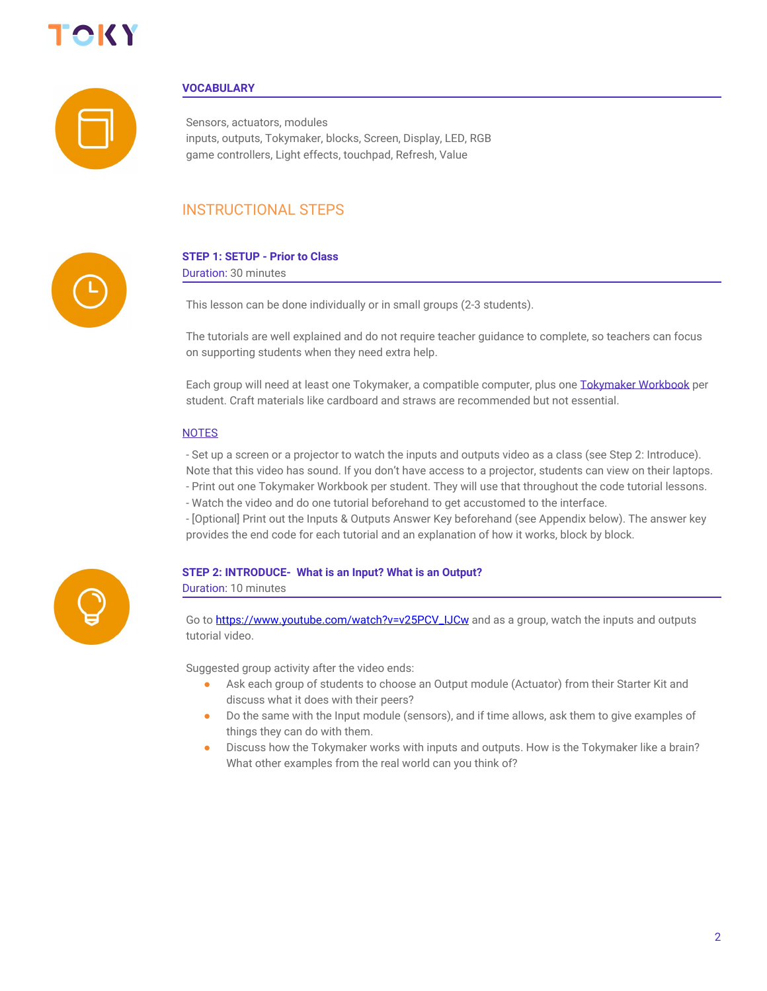



### **VOCABULARY**

Sensors, actuators, modules inputs, outputs, Tokymaker, blocks, Screen, Display, LED, RGB game controllers, Light effects, touchpad, Refresh, Value

# INSTRUCTIONAL STEPS



# **STEP 1: SETUP - Prior to Class**

Duration: 30 minutes

This lesson can be done individually or in small groups (2-3 students).

The tutorials are well explained and do not require teacher guidance to complete, so teachers can focus on supporting students when they need extra help.

Each group will need at least one Tokymaker, a compatible computer, plus one [Tokymaker Workbook](https://docs.google.com/document/d/1M8bdTb4E-0PBFbi7nlpsVoFkDcxeh37j8qKDcfUzScY/edit?usp=sharing) per student. Craft materials like cardboard and straws are recommended but not essential.

#### **NOTES**

- Set up a screen or a projector to watch the inputs and outputs video as a class (see Step 2: Introduce). Note that this video has sound. If you don't have access to a projector, students can view on their laptops. - Print out one Tokymaker Workbook per student. They will use that throughout the code tutorial lessons.

- Watch the video and do one tutorial beforehand to get accustomed to the interface.

- [Optional] Print out the Inputs & Outputs Answer Key beforehand (see Appendix below). The answer key provides the end code for each tutorial and an explanation of how it works, block by block.



# **STEP 2: INTRODUCE- What is an Input? What is an Output?**

Duration: 10 minutes

Go to [https://www.youtube.com/watch?v=v25PCV\\_IJCw](https://www.youtube.com/watch?v=v25PCV_IJCw) and as a group, watch the inputs and outputs tutorial video.

Suggested group activity after the video ends:

- Ask each group of students to choose an Output module (Actuator) from their Starter Kit and discuss what it does with their peers?
- Do the same with the Input module (sensors), and if time allows, ask them to give examples of things they can do with them.
- Discuss how the Tokymaker works with inputs and outputs. How is the Tokymaker like a brain? What other examples from the real world can you think of?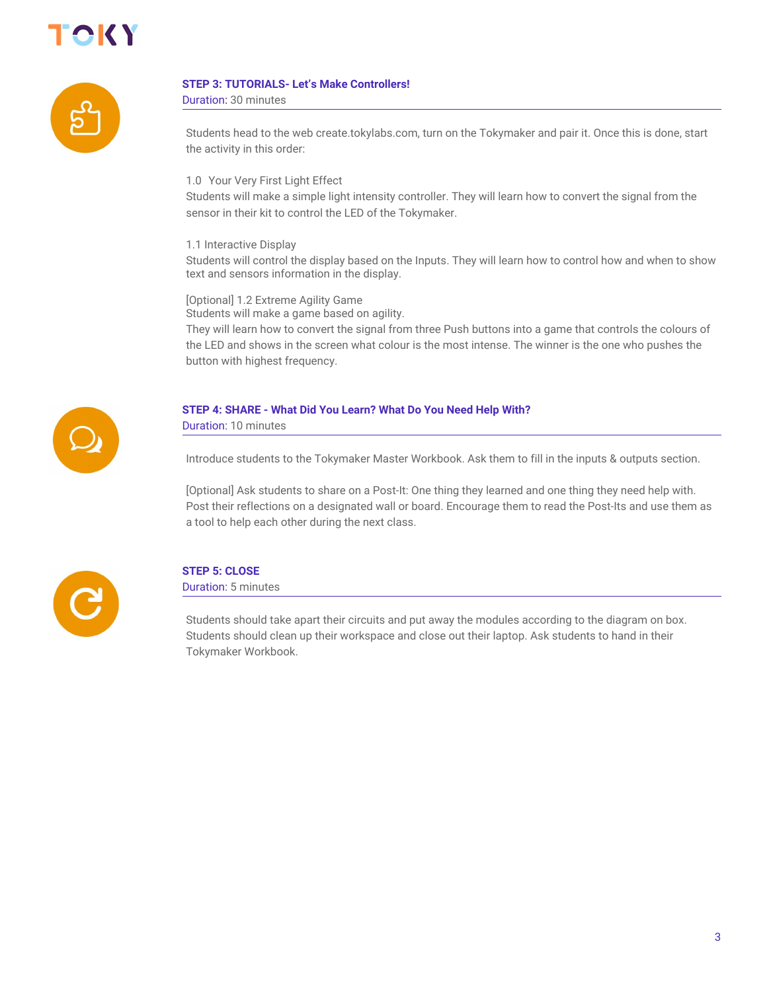



# **STEP 3: TUTORIALS- Let's Make Controllers!**

Duration: 30 minutes

Students head to the web create.tokylabs.com, turn on the Tokymaker and pair it. Once this is done, start the activity in this order:

1.0 Your Very First Light Effect

Students will make a simple light intensity controller. They will learn how to convert the signal from the sensor in their kit to control the LED of the Tokymaker.

1.1 Interactive Display

Students will control the display based on the Inputs. They will learn how to control how and when to show text and sensors information in the display.

[Optional] 1.2 Extreme Agility Game

Students will make a game based on agility.

They will learn how to convert the signal from three Push buttons into a game that controls the colours of the LED and shows in the screen what colour is the most intense. The winner is the one who pushes the button with highest frequency.



# **STEP 4: SHARE - What Did You Learn? What Do You Need Help With?**

Duration: 10 minutes

Introduce students to the Tokymaker Master Workbook. Ask them to fill in the inputs & outputs section.

[Optional] Ask students to share on a Post-It: One thing they learned and one thing they need help with. Post their reflections on a designated wall or board. Encourage them to read the Post-Its and use them as a tool to help each other during the next class.



# **STEP 5: CLOSE**

Duration: 5 minutes

Students should take apart their circuits and put away the modules according to the diagram on box. Students should clean up their workspace and close out their laptop. Ask students to hand in their Tokymaker Workbook.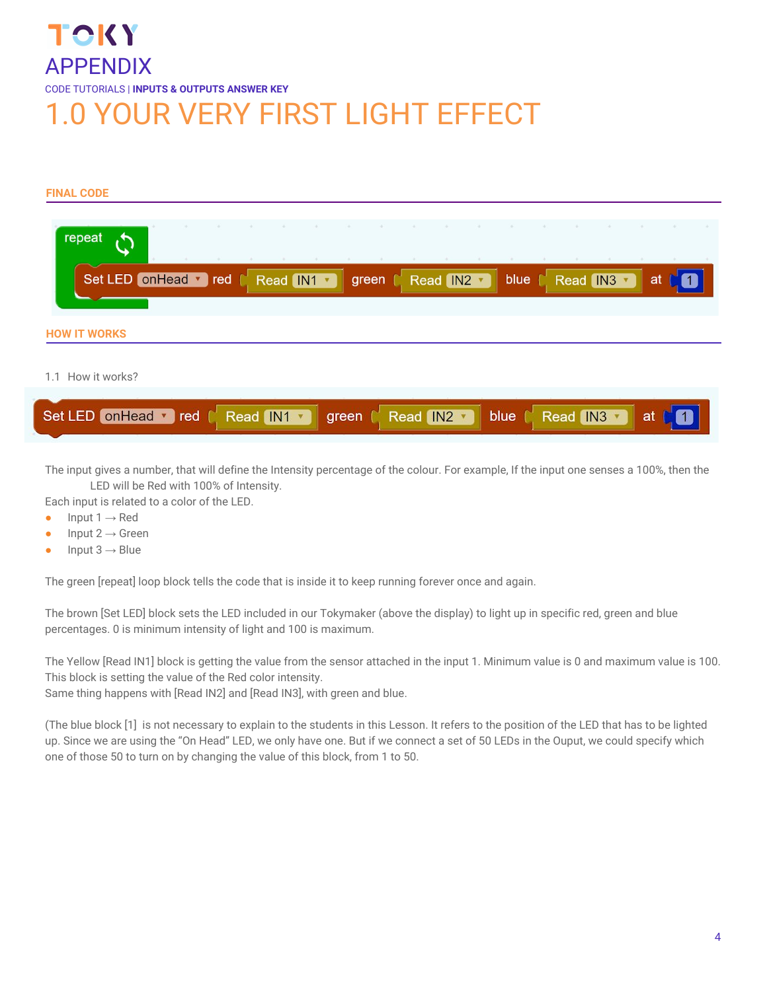# TOKY APPENDIX CODE TUTORIALS | **INPUTS & OUTPUTS ANSWER KEY** 1.0 YOUR VERY FIRST LIGHT EFFECT

# **FINAL CODE**

| repeat                                     |                   | $+1$ |                  |  |
|--------------------------------------------|-------------------|------|------------------|--|
| Set LED on Head v red<br>Read IN1          | Read IN2<br>green | blue | Read IN3 v<br>at |  |
| <b>HOW IT WORKS</b>                        |                   |      |                  |  |
| 1.1 How it works?                          |                   |      |                  |  |
| Set LED on Head v red<br>Read IN1<br>green | Read IN2 v        | blue | Read IN3<br>at   |  |

The input gives a number, that will define the Intensity percentage of the colour. For example, If the input one senses a 100%, then the LED will be Red with 100% of Intensity.

Each input is related to a color of the LED.

- $\bullet$  Input 1  $\rightarrow$  Red
- $\bullet$  Input 2  $\rightarrow$  Green
- $\bullet$  Input 3  $\rightarrow$  Blue

The green [repeat] loop block tells the code that is inside it to keep running forever once and again.

The brown [Set LED] block sets the LED included in our Tokymaker (above the display) to light up in specific red, green and blue percentages. 0 is minimum intensity of light and 100 is maximum.

The Yellow [Read IN1] block is getting the value from the sensor attached in the input 1. Minimum value is 0 and maximum value is 100. This block is setting the value of the Red color intensity.

Same thing happens with [Read IN2] and [Read IN3], with green and blue.

(The blue block [1] is not necessary to explain to the students in this Lesson. It refers to the position of the LED that has to be lighted up. Since we are using the "On Head" LED, we only have one. But if we connect a set of 50 LEDs in the Ouput, we could specify which one of those 50 to turn on by changing the value of this block, from 1 to 50.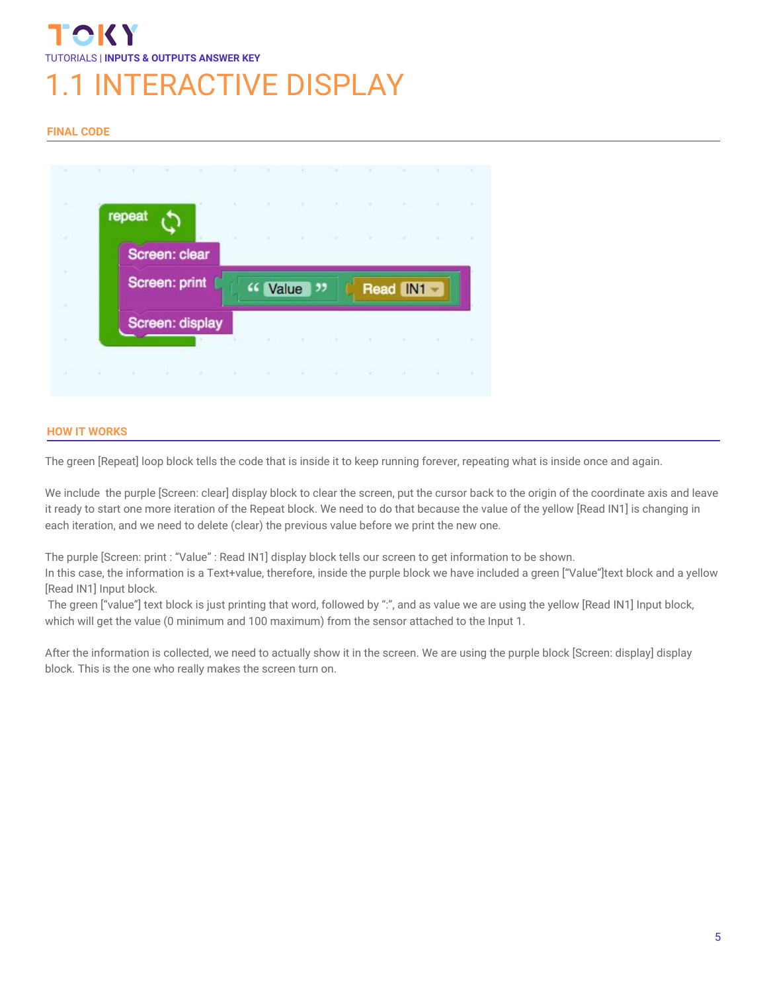# TUTORIALS | **INPUTS & OUTPUTS ANSWER KEY INTERACTIVE DISPLAY**

# **FINAL CODE**



### **HOW IT WORKS**

The green [Repeat] loop block tells the code that is inside it to keep running forever, repeating what is inside once and again.

We include the purple [Screen: clear] display block to clear the screen, put the cursor back to the origin of the coordinate axis and leave it ready to start one more iteration of the Repeat block. We need to do that because the value of the yellow [Read IN1] is changing in each iteration, and we need to delete (clear) the previous value before we print the new one.

The purple [Screen: print : "Value" : Read IN1] display block tells our screen to get information to be shown.

In this case, the information is a Text+value, therefore, inside the purple block we have included a green ["Value"]text block and a yellow [Read IN1] Input block.

The green ["value"] text block is just printing that word, followed by ":", and as value we are using the yellow [Read IN1] Input block, which will get the value (0 minimum and 100 maximum) from the sensor attached to the Input 1.

After the information is collected, we need to actually show it in the screen. We are using the purple block [Screen: display] display block. This is the one who really makes the screen turn on.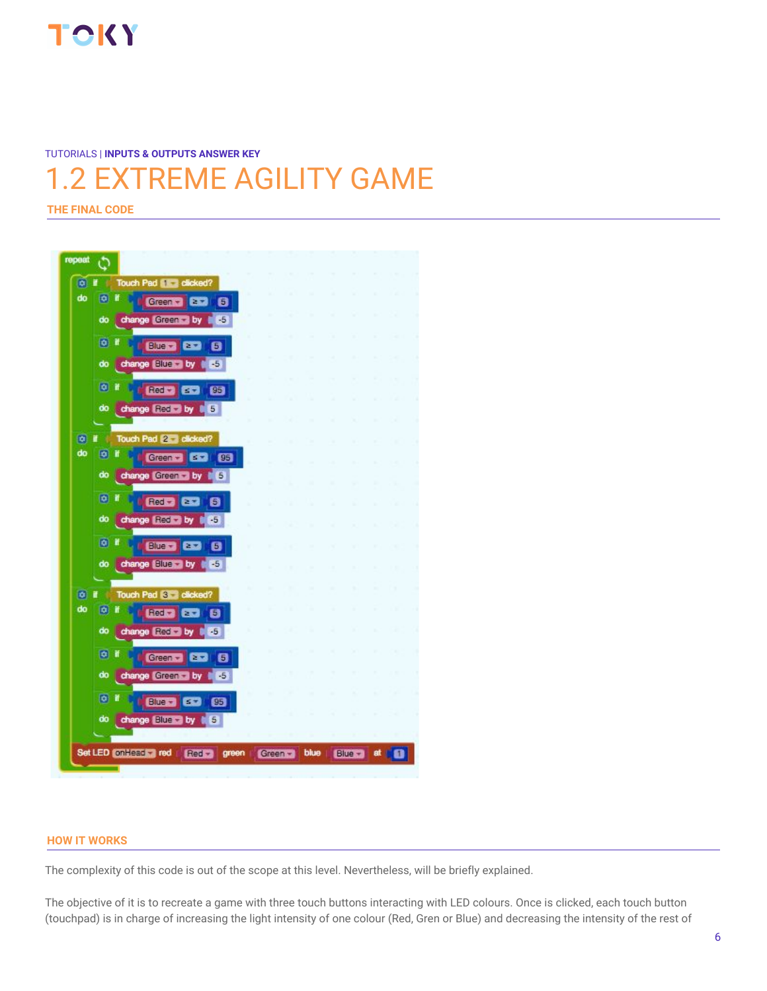

**THE FINAL CODE**

# 1.2 EXTREME AGILITY GAME

TUTORIALS | **INPUTS & OUTPUTS ANSWER KEY**

#### repeat Ò  $\overline{0}$  r Touch Pad **Strate** clicked? do o if Green - **Base**  $\mathbf{G}$ change Green by 65 do  $\circ$  r **Blue 2 22 8** do change Ellie by FES ◎ ■ do change Fied by [ 5]  $\bullet$   $\bullet$ Touch Pad 2 dicked? do [o] if Green - 63 (95 do change Green by 6  $\bullet$  if Red Case ø change **RESET by # 65** do 向目 **Clues Case** 6 do change Blue by [ F5] Touch Pad **S** clicked?  $\boxed{0}$  if do [0] if **BBD 80 8** do change Red - by **C** 25  $\boxed{0}$  if Green v 2 3 5 change Green by 1 75 do  $\overline{\bullet}$ Ť **BUED 60 80** change Bluess by 16 do Set LED on Head red Green blue Red<sub>2</sub> green Blue at l' n

### **HOW IT WORKS**

The complexity of this code is out of the scope at this level. Nevertheless, will be briefly explained.

The objective of it is to recreate a game with three touch buttons interacting with LED colours. Once is clicked, each touch button (touchpad) is in charge of increasing the light intensity of one colour (Red, Gren or Blue) and decreasing the intensity of the rest of